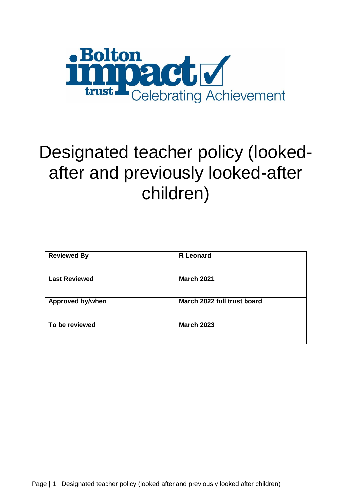

# Designated teacher policy (lookedafter and previously looked-after children)

| <b>Reviewed By</b>      | <b>R</b> Leonard            |
|-------------------------|-----------------------------|
| <b>Last Reviewed</b>    | <b>March 2021</b>           |
| <b>Approved by/when</b> | March 2022 full trust board |
| To be reviewed          | <b>March 2023</b>           |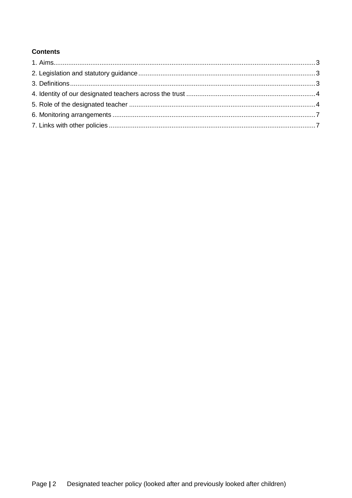## **Contents**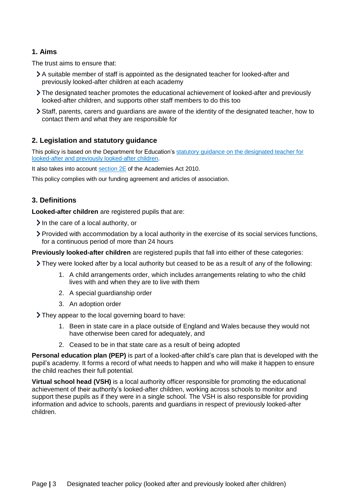## <span id="page-2-0"></span>**1. Aims**

The trust aims to ensure that:

- A suitable member of staff is appointed as the designated teacher for looked-after and previously looked-after children at each academy
- The designated teacher promotes the educational achievement of looked-after and previously looked-after children, and supports other staff members to do this too
- Staff, parents, carers and guardians are aware of the identity of the designated teacher, how to contact them and what they are responsible for

## <span id="page-2-1"></span>**2. Legislation and statutory guidance**

This policy is based on the Department for Education's [statutory guidance on the designated teacher for](https://www.gov.uk/government/publications/designated-teacher-for-looked-after-children)  [looked-after and previously looked-after children.](https://www.gov.uk/government/publications/designated-teacher-for-looked-after-children)

It also takes into account [section 2E](http://www.legislation.gov.uk/ukpga/2010/32/section/2E) of the Academies Act 2010.

This policy complies with our funding agreement and articles of association.

#### <span id="page-2-2"></span>**3. Definitions**

**Looked-after children** are registered pupils that are:

- $\blacktriangleright$  In the care of a local authority, or
- Provided with accommodation by a local authority in the exercise of its social services functions, for a continuous period of more than 24 hours

**Previously looked-after children** are registered pupils that fall into either of these categories:

- $\geq$  They were looked after by a local authority but ceased to be as a result of any of the following:
	- 1. A child arrangements order, which includes arrangements relating to who the child lives with and when they are to live with them
	- 2. A special guardianship order
	- 3. An adoption order

They appear to the local governing board to have:

- 1. Been in state care in a place outside of England and Wales because they would not have otherwise been cared for adequately, and
- 2. Ceased to be in that state care as a result of being adopted

**Personal education plan (PEP)** is part of a looked-after child's care plan that is developed with the pupil's academy. It forms a record of what needs to happen and who will make it happen to ensure the child reaches their full potential.

**Virtual school head (VSH)** is a local authority officer responsible for promoting the educational achievement of their authority's looked-after children, working across schools to monitor and support these pupils as if they were in a single school. The VSH is also responsible for providing information and advice to schools, parents and guardians in respect of previously looked-after children.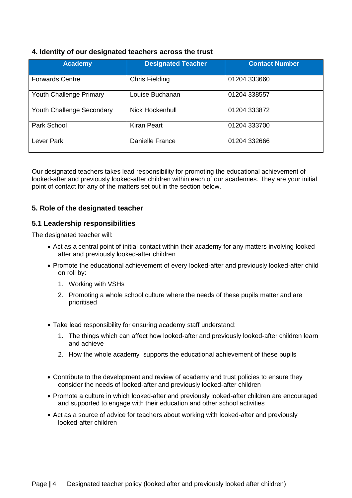## <span id="page-3-0"></span>**4. Identity of our designated teachers across the trust**

| <b>Academy</b>                 | <b>Designated Teacher</b> | <b>Contact Number</b> |
|--------------------------------|---------------------------|-----------------------|
| <b>Forwards Centre</b>         | <b>Chris Fielding</b>     | 01204 333660          |
| <b>Youth Challenge Primary</b> | Louise Buchanan           | 01204 338557          |
| Youth Challenge Secondary      | Nick Hockenhull           | 01204 333872          |
| Park School                    | <b>Kiran Peart</b>        | 01204 333700          |
| Lever Park                     | Danielle France           | 01204 332666          |

Our designated teachers takes lead responsibility for promoting the educational achievement of looked-after and previously looked-after children within each of our academies. They are your initial point of contact for any of the matters set out in the section below.

## <span id="page-3-1"></span>**5. Role of the designated teacher**

#### **5.1 Leadership responsibilities**

The designated teacher will:

- Act as a central point of initial contact within their academy for any matters involving lookedafter and previously looked-after children
- Promote the educational achievement of every looked-after and previously looked-after child on roll by:
	- 1. Working with VSHs
	- 2. Promoting a whole school culture where the needs of these pupils matter and are prioritised
- Take lead responsibility for ensuring academy staff understand:
	- 1. The things which can affect how looked-after and previously looked-after children learn and achieve
	- 2. How the whole academy supports the educational achievement of these pupils
- Contribute to the development and review of academy and trust policies to ensure they consider the needs of looked-after and previously looked-after children
- Promote a culture in which looked-after and previously looked-after children are encouraged and supported to engage with their education and other school activities
- Act as a source of advice for teachers about working with looked-after and previously looked-after children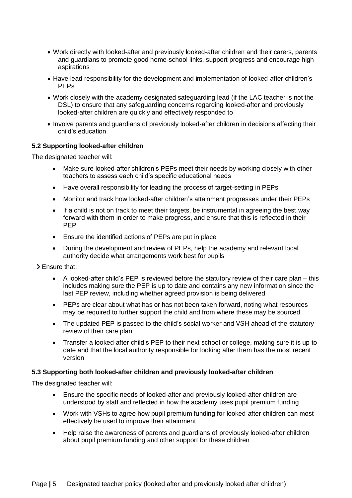- Work directly with looked-after and previously looked-after children and their carers, parents and guardians to promote good home-school links, support progress and encourage high aspirations
- Have lead responsibility for the development and implementation of looked-after children's PEPs
- Work closely with the academy designated safeguarding lead (if the LAC teacher is not the DSL) to ensure that any safeguarding concerns regarding looked-after and previously looked-after children are quickly and effectively responded to
- Involve parents and guardians of previously looked-after children in decisions affecting their child's education

#### **5.2 Supporting looked-after children**

The designated teacher will:

- Make sure looked-after children's PEPs meet their needs by working closely with other teachers to assess each child's specific educational needs
- Have overall responsibility for leading the process of target-setting in PEPs
- Monitor and track how looked-after children's attainment progresses under their PEPs
- If a child is not on track to meet their targets, be instrumental in agreeing the best way forward with them in order to make progress, and ensure that this is reflected in their PEP
- Ensure the identified actions of PEPs are put in place
- During the development and review of PEPs, help the academy and relevant local authority decide what arrangements work best for pupils
- Ensure that:
	- A looked-after child's PEP is reviewed before the statutory review of their care plan this includes making sure the PEP is up to date and contains any new information since the last PEP review, including whether agreed provision is being delivered
	- PEPs are clear about what has or has not been taken forward, noting what resources may be required to further support the child and from where these may be sourced
	- The updated PEP is passed to the child's social worker and VSH ahead of the statutory review of their care plan
	- Transfer a looked-after child's PEP to their next school or college, making sure it is up to date and that the local authority responsible for looking after them has the most recent version

#### **5.3 Supporting both looked-after children and previously looked-after children**

The designated teacher will:

- Ensure the specific needs of looked-after and previously looked-after children are understood by staff and reflected in how the academy uses pupil premium funding
- Work with VSHs to agree how pupil premium funding for looked-after children can most effectively be used to improve their attainment
- Help raise the awareness of parents and guardians of previously looked-after children about pupil premium funding and other support for these children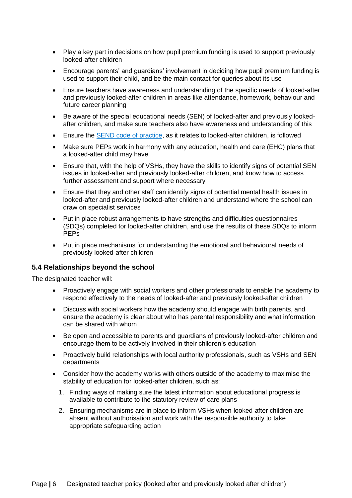- Play a key part in decisions on how pupil premium funding is used to support previously looked-after children
- Encourage parents' and guardians' involvement in deciding how pupil premium funding is used to support their child, and be the main contact for queries about its use
- Ensure teachers have awareness and understanding of the specific needs of looked-after and previously looked-after children in areas like attendance, homework, behaviour and future career planning
- Be aware of the special educational needs (SEN) of looked-after and previously lookedafter children, and make sure teachers also have awareness and understanding of this
- Ensure the [SEND code of practice,](https://www.gov.uk/government/publications/send-code-of-practice-0-to-25) as it relates to looked-after children, is followed
- Make sure PEPs work in harmony with any education, health and care (EHC) plans that a looked-after child may have
- Ensure that, with the help of VSHs, they have the skills to identify signs of potential SEN issues in looked-after and previously looked-after children, and know how to access further assessment and support where necessary
- Ensure that they and other staff can identify signs of potential mental health issues in looked-after and previously looked-after children and understand where the school can draw on specialist services
- Put in place robust arrangements to have strengths and difficulties questionnaires (SDQs) completed for looked-after children, and use the results of these SDQs to inform PEPs
- Put in place mechanisms for understanding the emotional and behavioural needs of previously looked-after children

## **5.4 Relationships beyond the school**

The designated teacher will:

- Proactively engage with social workers and other professionals to enable the academy to respond effectively to the needs of looked-after and previously looked-after children
- Discuss with social workers how the academy should engage with birth parents, and ensure the academy is clear about who has parental responsibility and what information can be shared with whom
- Be open and accessible to parents and guardians of previously looked-after children and encourage them to be actively involved in their children's education
- Proactively build relationships with local authority professionals, such as VSHs and SEN departments
- Consider how the academy works with others outside of the academy to maximise the stability of education for looked-after children, such as:
	- 1. Finding ways of making sure the latest information about educational progress is available to contribute to the statutory review of care plans
	- 2. Ensuring mechanisms are in place to inform VSHs when looked-after children are absent without authorisation and work with the responsible authority to take appropriate safeguarding action